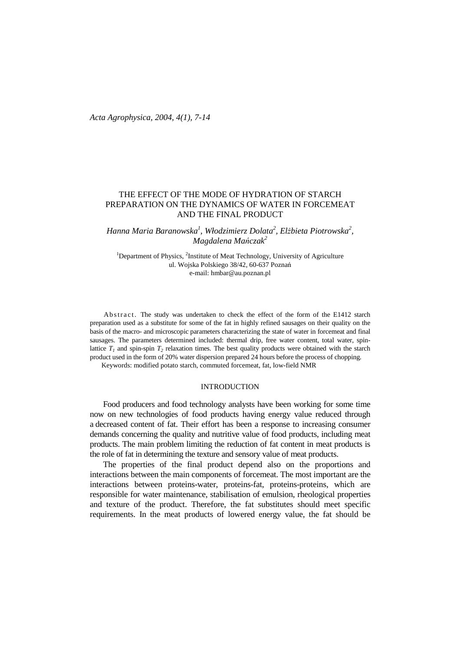# THE EFFECT OF THE MODE OF HYDRATION OF STARCH PREPARATION ON THE DYNAMICS OF WATER IN FORCEMEAT AND THE FINAL PRODUCT

*Hanna Maria Baranowska<sup>1</sup> , Włodzimierz Dolata<sup>2</sup> , El*Ŝ*bieta Piotrowska<sup>2</sup> , Magdalena Ma*ń*czak<sup>2</sup>* 

<sup>1</sup>Department of Physics,  ${}^{2}$ Institute of Meat Technology, University of Agriculture ul. Wojska Polskiego 38/42, 60-637 Poznań e-mail: hmbar@au.poznan.pl

Ab stract. The study was undertaken to check the effect of the form of the E1412 starch preparation used as a substitute for some of the fat in highly refined sausages on their quality on the basis of the macro- and microscopic parameters characterizing the state of water in forcemeat and final sausages. The parameters determined included: thermal drip, free water content, total water, spinlattice  $T_I$  and spin-spin  $T_2$  relaxation times. The best quality products were obtained with the starch product used in the form of 20% water dispersion prepared 24 hours before the process of chopping.

Keywords: modified potato starch, commuted forcemeat, fat, low-field NMR

## **INTRODUCTION**

Food producers and food technology analysts have been working for some time now on new technologies of food products having energy value reduced through a decreased content of fat. Their effort has been a response to increasing consumer demands concerning the quality and nutritive value of food products, including meat products. The main problem limiting the reduction of fat content in meat products is the role of fat in determining the texture and sensory value of meat products.

 The properties of the final product depend also on the proportions and interactions between the main components of forcemeat. The most important are the interactions between proteins-water, proteins-fat, proteins-proteins, which are responsible for water maintenance, stabilisation of emulsion, rheological properties and texture of the product. Therefore, the fat substitutes should meet specific requirements. In the meat products of lowered energy value, the fat should be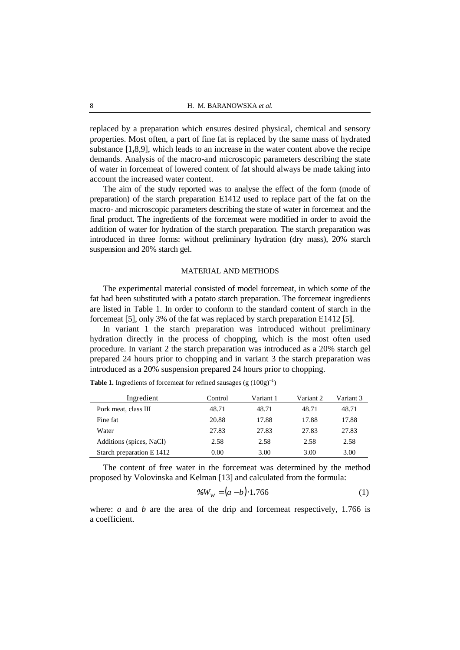replaced by a preparation which ensures desired physical, chemical and sensory properties. Most often, a part of fine fat is replaced by the same mass of hydrated substance **[**1**,**8,9], which leads to an increase in the water content above the recipe demands. Analysis of the macro-and microscopic parameters describing the state of water in forcemeat of lowered content of fat should always be made taking into account the increased water content.

 The aim of the study reported was to analyse the effect of the form (mode of preparation) of the starch preparation E1412 used to replace part of the fat on the macro- and microscopic parameters describing the state of water in forcemeat and the final product. The ingredients of the forcemeat were modified in order to avoid the addition of water for hydration of the starch preparation. The starch preparation was introduced in three forms: without preliminary hydration (dry mass), 20% starch suspension and 20% starch gel.

### MATERIAL AND METHODS

 The experimental material consisted of model forcemeat, in which some of the fat had been substituted with a potato starch preparation. The forcemeat ingredients are listed in Table 1. In order to conform to the standard content of starch in the forcemeat [5], only 3% of the fat was replaced by starch preparation E1412 [5**]**.

 In variant 1 the starch preparation was introduced without preliminary hydration directly in the process of chopping, which is the most often used procedure. In variant 2 the starch preparation was introduced as a 20% starch gel prepared 24 hours prior to chopping and in variant 3 the starch preparation was introduced as a 20% suspension prepared 24 hours prior to chopping.

| Ingredient                | Control | Variant 1 | Variant 2 | Variant 3 |
|---------------------------|---------|-----------|-----------|-----------|
| Pork meat, class III      | 48.71   | 48.71     | 48.71     | 48.71     |
| Fine fat                  | 20.88   | 17.88     | 17.88     | 17.88     |
| Water                     | 27.83   | 27.83     | 27.83     | 27.83     |
| Additions (spices, NaCl)  | 2.58    | 2.58      | 2.58      | 2.58      |
| Starch preparation E 1412 | 0.00    | 3.00      | 3.00      | 3.00      |

**Table 1.** Ingredients of forcemeat for refined sausages (g  $(100g)^{-1}$ )

 The content of free water in the forcemeat was determined by the method proposed by Volovinska and Kelman [13] and calculated from the formula:

$$
\%W_w = (a - b) \cdot 1.766\tag{1}
$$

where: *a* and *b* are the area of the drip and forcemeat respectively, 1.766 is a coefficient.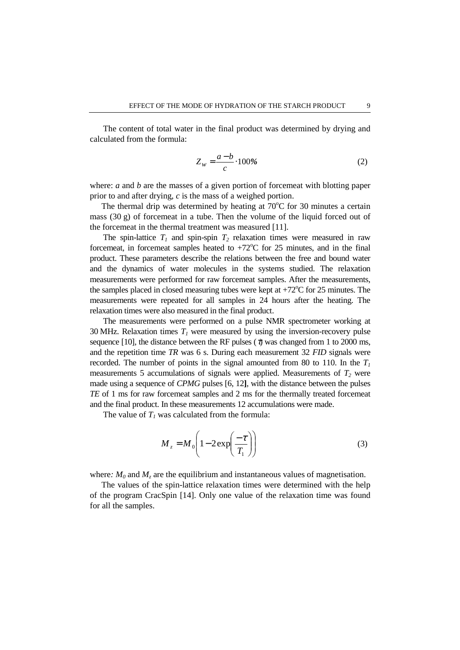The content of total water in the final product was determined by drying and calculated from the formula:

$$
Z_w = \frac{a-b}{c} \cdot 100\% \tag{2}
$$

where: *a* and *b* are the masses of a given portion of forcemeat with blotting paper prior to and after drying, *c* is the mass of a weighed portion.

The thermal drip was determined by heating at  $70^{\circ}$ C for 30 minutes a certain mass  $(30 \text{ g})$  of forcemeat in a tube. Then the volume of the liquid forced out of the forcemeat in the thermal treatment was measured [11].

The spin-lattice  $T_1$  and spin-spin  $T_2$  relaxation times were measured in raw forcemeat, in forcemeat samples heated to  $+72^{\circ}$ C for 25 minutes, and in the final product. These parameters describe the relations between the free and bound water and the dynamics of water molecules in the systems studied. The relaxation measurements were performed for raw forcemeat samples. After the measurements, the samples placed in closed measuring tubes were kept at  $+72^{\circ}$ C for 25 minutes. The measurements were repeated for all samples in 24 hours after the heating. The relaxation times were also measured in the final product.

 The measurements were performed on a pulse NMR spectrometer working at 30 MHz. Relaxation times  $T<sub>I</sub>$  were measured by using the inversion-recovery pulse sequence [10], the distance between the RF pulses ( $\tau$ ) was changed from 1 to 2000 ms, and the repetition time *TR* was 6 s. During each measurement 32 *FID* signals were recorded. The number of points in the signal amounted from 80 to 110. In the  $T_I$ measurements 5 accumulations of signals were applied. Measurements of  $T_2$  were made using a sequence of *CPMG* pulses [6, 12**]**, with the distance between the pulses *TE* of 1 ms for raw forcemeat samples and 2 ms for the thermally treated forcemeat and the final product. In these measurements 12 accumulations were made.

The value of  $T_I$  was calculated from the formula:

$$
M_z = M_0 \left( 1 - 2 \exp\left(\frac{-\tau}{T_1}\right) \right) \tag{3}
$$

where:  $M_0$  and  $M_z$  are the equilibrium and instantaneous values of magnetisation.

The values of the spin-lattice relaxation times were determined with the help of the program CracSpin [14]. Only one value of the relaxation time was found for all the samples.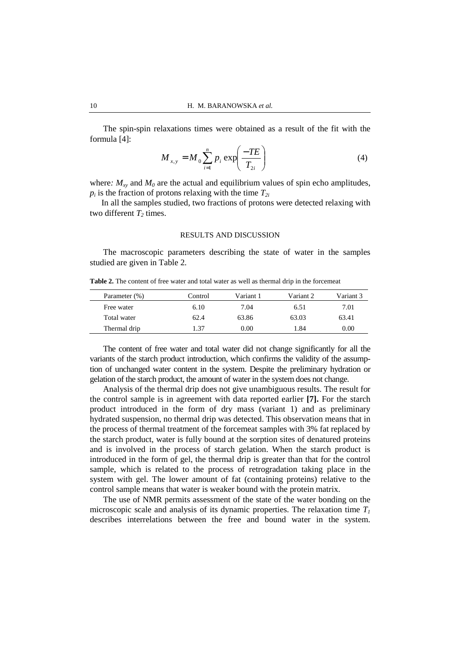The spin-spin relaxations times were obtained as a result of the fit with the formula [4]:

$$
M_{x,y} = M_0 \sum_{i=1}^{n} p_i \exp\left(\frac{-TE}{T_{2i}}\right)
$$
 (4)

where:  $M_{xy}$  and  $M_0$  are the actual and equilibrium values of spin echo amplitudes,  $p_i$  is the fraction of protons relaxing with the time  $T_{2i}$ 

In all the samples studied, two fractions of protons were detected relaxing with two different  $T_2$  times.

### RESULTS AND DISCUSSION

 The macroscopic parameters describing the state of water in the samples studied are given in Table 2.

**Table 2.** The content of free water and total water as well as thermal drip in the forcemeat

| Parameter (%) | Control | Variant 1 | Variant 2 | Variant 3 |
|---------------|---------|-----------|-----------|-----------|
| Free water    | 6.10    | 7.04      | 6.51      | 7.01      |
| Total water   | 62.4    | 63.86     | 63.03     | 63.41     |
| Thermal drip  | 1.37    | 0.00      | 1.84      | 0.00      |

 The content of free water and total water did not change significantly for all the variants of the starch product introduction, which confirms the validity of the assumption of unchanged water content in the system. Despite the preliminary hydration or gelation of the starch product, the amount of water in the system does not change.

Analysis of the thermal drip does not give unambiguous results. The result for the control sample is in agreement with data reported earlier **[7].** For the starch product introduced in the form of dry mass (variant 1) and as preliminary hydrated suspension, no thermal drip was detected. This observation means that in the process of thermal treatment of the forcemeat samples with 3% fat replaced by the starch product, water is fully bound at the sorption sites of denatured proteins and is involved in the process of starch gelation. When the starch product is introduced in the form of gel, the thermal drip is greater than that for the control sample, which is related to the process of retrogradation taking place in the system with gel. The lower amount of fat (containing proteins) relative to the control sample means that water is weaker bound with the protein matrix.

 The use of NMR permits assessment of the state of the water bonding on the microscopic scale and analysis of its dynamic properties. The relaxation time *T<sup>1</sup>* describes interrelations between the free and bound water in the system.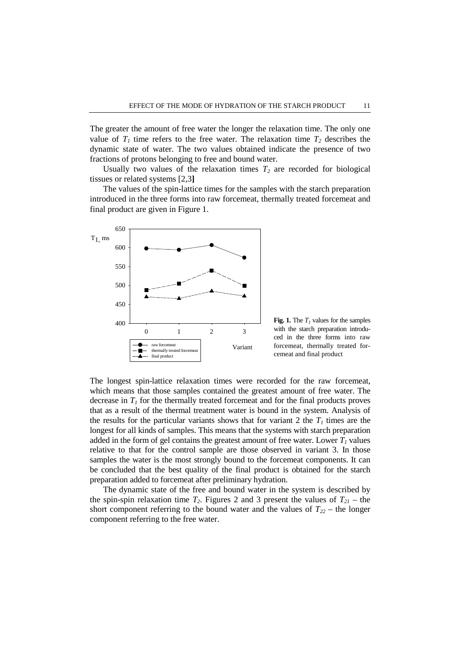The greater the amount of free water the longer the relaxation time. The only one value of  $T<sub>1</sub>$  time refers to the free water. The relaxation time  $T<sub>2</sub>$  describes the dynamic state of water. The two values obtained indicate the presence of two fractions of protons belonging to free and bound water.

Usually two values of the relaxation times  $T_2$  are recorded for biological tissues or related systems [2,3**]**

 The values of the spin-lattice times for the samples with the starch preparation introduced in the three forms into raw forcemeat, thermally treated forcemeat and final product are given in Figure 1.



**Fig. 1.** The  $T_I$  values for the samples with the starch preparation introduced in the three forms into raw forcemeat, thermally treated forcemeat and final product

The longest spin-lattice relaxation times were recorded for the raw forcemeat, which means that those samples contained the greatest amount of free water. The decrease in  $T<sub>l</sub>$  for the thermally treated forcemeat and for the final products proves that as a result of the thermal treatment water is bound in the system. Analysis of the results for the particular variants shows that for variant 2 the  $T_I$  times are the longest for all kinds of samples. This means that the systems with starch preparation added in the form of gel contains the greatest amount of free water. Lower  $T_I$  values relative to that for the control sample are those observed in variant 3. In those samples the water is the most strongly bound to the forcemeat components. It can be concluded that the best quality of the final product is obtained for the starch preparation added to forcemeat after preliminary hydration.

 The dynamic state of the free and bound water in the system is described by the spin-spin relaxation time  $T_2$ . Figures 2 and 3 present the values of  $T_{21}$  – the short component referring to the bound water and the values of  $T_{22}$  – the longer component referring to the free water.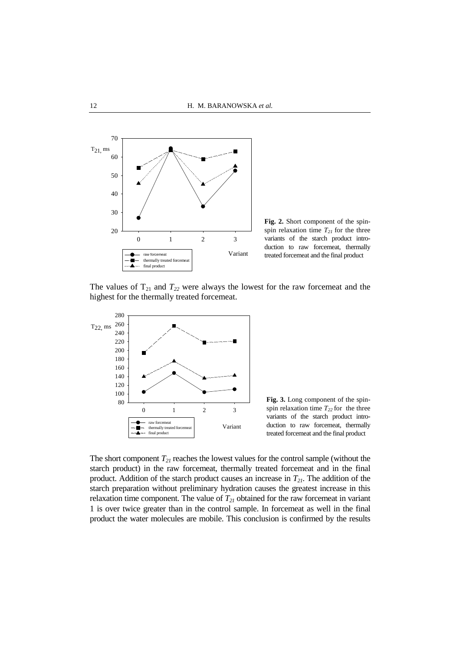

**Fig. 2.** Short component of the spinspin relaxation time  $T_{21}$  for the three variants of the starch product introduction to raw forcemeat, thermally treated forcemeat and the final product

The values of  $T_{21}$  and  $T_{22}$  were always the lowest for the raw forcemeat and the highest for the thermally treated forcemeat.



**Fig. 3.** Long component of the spinspin relaxation time  $T_{22}$  for the three variants of the starch product introduction to raw forcemeat, thermally treated forcemeat and the final product

The short component *T21* reaches the lowest values for the control sample (without the starch product) in the raw forcemeat, thermally treated forcemeat and in the final product. Addition of the starch product causes an increase in *T21*. The addition of the starch preparation without preliminary hydration causes the greatest increase in this relaxation time component. The value of  $T_{21}$  obtained for the raw forcemeat in variant 1 is over twice greater than in the control sample. In forcemeat as well in the final product the water molecules are mobile. This conclusion is confirmed by the results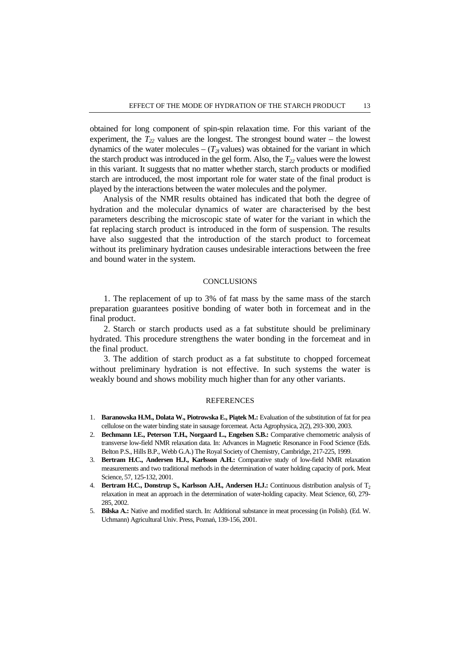obtained for long component of spin-spin relaxation time. For this variant of the experiment, the  $T_{22}$  values are the longest. The strongest bound water – the lowest dynamics of the water molecules –  $(T_{2i}$  values) was obtained for the variant in which the starch product was introduced in the gel form. Also, the  $T_{22}$  values were the lowest in this variant. It suggests that no matter whether starch, starch products or modified starch are introduced, the most important role for water state of the final product is played by the interactions between the water molecules and the polymer.

 Analysis of the NMR results obtained has indicated that both the degree of hydration and the molecular dynamics of water are characterised by the best parameters describing the microscopic state of water for the variant in which the fat replacing starch product is introduced in the form of suspension. The results have also suggested that the introduction of the starch product to forcemeat without its preliminary hydration causes undesirable interactions between the free and bound water in the system.

#### **CONCLUSIONS**

1. The replacement of up to 3% of fat mass by the same mass of the starch preparation guarantees positive bonding of water both in forcemeat and in the final product.

2. Starch or starch products used as a fat substitute should be preliminary hydrated. This procedure strengthens the water bonding in the forcemeat and in the final product.

3. The addition of starch product as a fat substitute to chopped forcemeat without preliminary hydration is not effective. In such systems the water is weakly bound and shows mobility much higher than for any other variants.

#### **REFERENCES**

- 1. **Baranowska H.M., Dolata W., Piotrowska E., Pi**ą**tek M.:** Evaluation of the substitution of fat for pea cellulose on the water binding state in sausage forcemeat. Acta Agrophysica, 2(2), 293-300, 2003.
- 2. **Bechmann I.E., Peterson T.H., Norgaard L., Engelsen S.B.:** Comparative chemometric analysis of transverse low-field NMR relaxation data. In: Advances in Magnetic Resonance in Food Science (Eds. Belton P.S., Hills B.P., Webb G.A.) The Royal Society of Chemistry, Cambridge, 217-225, 1999.
- 3. **Bertram H.C., Andersen H.J., Karlsson A.H.:** Comparative study of low-field NMR relaxation measurements and two traditional methods in the determination of water holding capacity of pork. Meat Science, 57, 125-132, 2001.
- 4. **Bertram H.C., Donstrup S., Karlsson A.H., Andersen H.J.:** Continuous distribution analysis of T<sup>2</sup> relaxation in meat an approach in the determination of water-holding capacity. Meat Science, 60, 279- 285, 2002.
- 5. **Bilska A.:** Native and modified starch. In: Additional substance in meat processing (in Polish). (Ed. W. Uchmann) Agricultural Univ. Press, Poznań, 139-156, 2001.